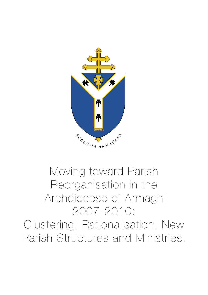

# Moving toward Parish Reorganisation in the Archdiocese of Armagh 2007-2010: Clustering, Rationalisation, New Parish Structures and Ministries.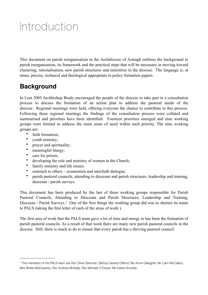# Introduction

This document on parish reorganisation in the Archdiocese of Armagh outlines the background to parish reorganisation, its framework and the practical steps that will be necessary in moving toward clustering, rationalisation, new parish structures and ministries in the diocese. The language is, at times, precise, technical and theological appropriate to policy formation papers.

# **Background**

In Lent 2005 Archbishop Brady encouraged the people of the diocese to take part in a consultation process to discuss the formation of an action plan to address the pastoral needs of the diocese. Regional meetings were held, offering everyone the chance to contribute to this process. Following these regional meetings the findings of the consultation process were collated and summarised and priorities have been identified. Fourteen priorities emerged and nine working groups were formed to address the main areas of need within each priority. The nine working groups are:

- faith formation;
- youth ministry;
- prayer and spirituality;
- meaningful liturgy;
- care for priests;
- developing the role and ministry of women in the Church;
- family ministry and life issues;
- outreach to others ecumenism and interfaith dialogue;
- parish pastoral councils, attending to diocesan and parish structures, leadership and training, diocesan / parish surveys.

This document has been produced by the last of these working groups responsible for Parish Pastoral Councils, Attending to Diocesan and Parish Structures, Leadership and Training, Diocesan / Parish Surveys.<sup>[1](#page-1-0)</sup> One of the first things the working group did was to shorten its name to PALS (taking the first letter of each of the areas of work ).

The first area of work that the PALS team gave a lot of time and energy to has been the formation of parish pastoral councils. As a result of that work there are many new parish pastoral councils in the diocese. Still, there is much to do to ensure that every parish has a thriving pastoral council.

<span id="page-1-0"></span><sup>1</sup> The members of the PALS team are Rev Oliver Brennan, Bishop Gerard Clifford, Ms Anne Gallagher, Mr Liam McCallion, Mrs Sheila McEneaney, Rev Andrew McNally, Rev Michael O'Dwyer, Ms Debra Snoddy.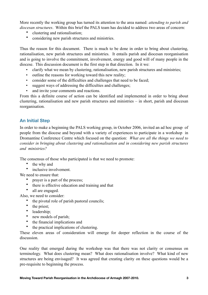More recently the working group has turned its attention to the area named: *attending to parish and diocesan structures*. Within this brief the PALS team has decided to address two areas of concern:

- clustering and rationalisation;
- considering new parish structures and ministries.

Thus the reason for this document. There is much to be done in order to bring about clustering, rationalisation, new parish structures and ministries. It entails parish and diocesan reorganisation and is going to involve the commitment, involvement, energy and good will of many people in the diocese. This discussion document is the first step in that direction. In it we:

- clarify what we mean by clustering, rationalisation, new parish structures and ministries;
- outline the reasons for working toward this new reality;
- consider some of the difficulties and challenges that need to be faced;
- suggest ways of addressing the difficulties and challenges;
- and invite your comments and reactions.

From this a definite course of action can be identified and implemented in order to bring about clustering, rationalisation and new parish structures and ministries – in short, parish and diocesan reorganisation.

# **An Initial Step**

In order to make a beginning the PALS working group, in October 2006, invited an ad hoc group of people from the diocese and beyond with a variety of experiences to participate in a workshop in Dromantine Conference Centre which focused on the question: *What are all the things we need to consider in bringing about clustering and rationalisation and in considering new parish structures and ministries?*

The consensus of those who participated is that we need to promote:

- the why and
- inclusive involvement.

We need to ensure that:

- prayer is a part of the process;
- there is effective education and training and that
- all are engaged.

Also, we need to consider:

- the pivotal role of parish pastoral councils;
	- the priest;<br>• leadership
	- leadership;<br>•  $\frac{1}{2}$  new models
	- new models of parish:
	- the financial implications and
	- the practical implications of clustering.

These eleven areas of consideration will emerge for deeper reflection in the course of the discussion.

One reality that emerged during the workshop was that there was not clarity or consensus on terminology. What does clustering mean? What does rationalisation involve? What kind of new structures are being envisaged? It was agreed that creating clarity on these questions would be a pre-requisite to beginning the process.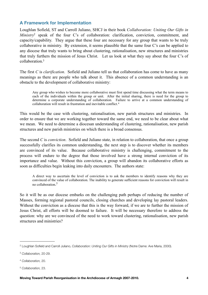# **A Framework for Implementation**

Loughlan Sofield, ST and Carroll Juliano, SHCJ in their book *Collaboration: Uniting Our Gifts in Ministry*<sup>[2](#page-3-0)</sup> speak of the four C's of collaboration: clarification, conviction, commitment, and capacity/capability. They argue that these four are necessary for any group that wants to be truly collaborative in ministry. By extension, it seems plausible that the same four C's can be applied to any diocese that truly wants to bring about clustering, rationalisation, new structures and ministries that truly furthers the mission of Jesus Christ. Let us look at what they say about the four C's of collaboration<sup>3</sup>

The first *C* is *clarification*. Sofield and Juliano tell us that collaboration has come to have as many meanings as there are people who talk about it. This absence of a common understanding is an obstacle to the development of collaborative ministry:

Any group who wishes to become more collaborative must first spend time discussing what the term means to each of the individuals within the group or unit. After the initial sharing, there is need for the group to determine a corporate understanding of collaboration. Failure to arrive at a common understanding of collaboration will result in frustration and inevitable conflict.[4](#page-3-2)

This would be the case with clustering, rationalisation, new parish structures and ministries. In order to ensure that we are working together toward the same end, we need to be clear about what we mean. We need to determine a diocesan understanding of clustering, rationalisation, new parish structures and new parish ministries on which there is a broad consensus.

The second *C* is *conviction*. Sofield and Juliano state, in relation to collaboration, that once a group successfully clarifies its common understanding, the next step is to discover whether its members are convinced of its value. Because collaborative ministry is challenging, commitment to the process will endure to the degree that those involved have a strong internal conviction of its importance and value. Without this conviction, a group will abandon its collaborative efforts as soon as difficulties begin leaking into daily encounters. The authors state:

A direct way to ascertain the level of conviction is to ask the members to identify reasons why they are convinced of the value of collaboration. The inability to generate sufficient reasons for conviction will result in no collaboration. [5](#page-3-3)

So it will be as our diocese embarks on the challenging path perhaps of reducing the number of Masses, forming regional pastoral councils, closing churches and developing lay pastoral leaders. Without the conviction as a diocese that this is the way forward, if we are to further the mission of Jesus Christ, all efforts will be doomed to failure. It will be necessary therefore to address the question: why are we convinced of the need to work toward clustering, rationalisation, new parish structures and ministries?

<span id="page-3-0"></span><sup>2</sup> Loughlan Sofield and Carroll Juliano, *Collaboration: Uniting Our Gifts in Ministry* (Notre Dame: Ave Maria, 2000).

<span id="page-3-1"></span><sup>3</sup> *Collaboration,* 20-29.

<span id="page-3-2"></span><sup>4</sup> *Collaboration,* 20.

<span id="page-3-3"></span><sup>5</sup> *Collaboration,* 23.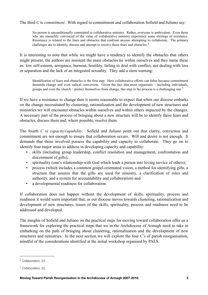The third *C* is *commitment*. With regard to commitment and collaboration Sofield and Juliano say:

No person is unconditionally committed to collaborative ministry. Rather, everyone is ambivalent. Even those who are staunchly convinced of the value of collaborative ministry experience some stirrings of resistance. Resistance is related to the fears and obstacles that confront anyone attempting to collaborate. The primary challenges are to identify, discuss and attempt to resolve those fears and obstacles.<sup>[6](#page-4-0)</sup>

It is interesting to note that while we might have a tendency to identify the obstacles that others might present, the authors are insistent the main obstacles lie within ourselves and they name these as: low self-esteem, arrogance, burnout, hostility, failing to deal with conflict, not dealing with loss or separation and the lack of an integrated sexuality. They add a stern warning:

Identification of fears and obstacles is the first step. Here collaborative efforts can falter because commitment demands change and even radical conversion. Given the fact that most organisms – including individuals, groups and even the church – protect themselves from change, this step in the process is a challenging one.<sup>[7](#page-4-1)</sup>

If we have a resistance to change then it seems reasonable to expect that when our diocese embarks on the change necessitated by clustering, rationalization and the development of new structures and ministries we will encounter obstacles within ourselves and within others impacted by the changes. A necessary part of the process of bringing about a new structure will be to identify these fears and obstacles, discuss them and, where possible, resolve them.

The fourth *C* is *capacity/capability*. Sofield and Juliano point out that clarity, conviction and commitment are not enough to ensure that collaboration occurs. Will and desire is not enough. It demands that those involved possess the capability and capacity to collaborate. They go on to identify four major areas to address in developing capacity and capability:

- skills (including group leadership, conflict resolution and management, confrontation and discernment of gifts);
- spirituality (one's relationship with God which leads a person into loving service of others);
- process (which includes a common gospel-orientated vision, a method for identifying gifts, a structure that assures that the gifts are used for ministry, a clarification of roles and authority, and a system for accountability and collaboration) and
- a developmental readiness for collaboration.

If collaboration does not happen without the development of skills, spirituality, process and readiness it would seem important that, as our diocese moves towards clustering, rationalization and development of new structures, issues of the skills, spirituality, process and readiness need to be addressed and developed.

The insights of Sofield and Juliano on the practical steps for moving toward collaboration offer us a framework for exploring the practical steps that we in the Archdiocese of Armagh need to take in embarking on the path of bringing about clustering, rationalisation and the development of new structures and ministries. In the next section we will explore the four C's of parish reorganisation, mindful of the considerations identified at the initial workshop organised by PALS.

<span id="page-4-0"></span><sup>6</sup> *Collaboration,* 24.

<span id="page-4-1"></span><sup>7</sup> *Collaboration,* 25.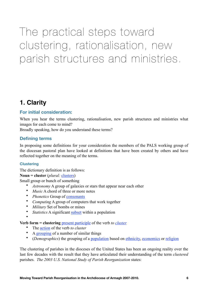The practical steps toward clustering, rationalisation, new parish structures and ministries.

# **1. Clarity**

# **For initial consideration:**

When you hear the terms clustering, rationalisation, new parish structures and ministries what images for each come to mind?

Broadly speaking, how do you understand these terms?

# **Defining terms**

In proposing some definitions for your consideration the members of the PALS working group of the diocesan pastoral plan have looked at definitions that have been created by others and have reflected together on the meaning of the terms.

#### **Clustering**

The dictionary definition is as follows:

#### **Noun = cluster** (*plural:* [clusters](http://en.wiktionary.org/wiki/clusters))

Small group or bunch of something

- *Astronomy* A group of galaxies or stars that appear near each other
- *Music* A chord of three or more notes<br>• *Phonotics Groun of consonants*
- *Phonetics* Group of [consonants](http://en.wiktionary.org/wiki/consonant)
- *Computing* A group of computers that work together<br>• *Military* Set of bombs or mines
- *Military* Set of bombs or mines
- *Statistics* A significant *subset* within a population
- •

#### **Verb form = clustering** [present participle](http://en.wiktionary.org/wiki/present_participle) of the verb *to [cluster](http://en.wiktionary.org/wiki/cluster)*

- The *action* of the verb *to cluster*
- A [grouping](http://en.wiktionary.org/wiki/grouping) of a number of similar things
- (*Demographics*) the grouping of a [population](http://en.wiktionary.org/wiki/population) based on [ethnicity,](http://en.wiktionary.org/wiki/ethnicity) [economics](http://en.wiktionary.org/wiki/economics) or [religion](http://en.wiktionary.org/wiki/religion)

The clustering of parishes in the dioceses of the United States has been an ongoing reality over the last few decades with the result that they have articulated their understanding of the term *clustered*  parishes. *The 2003 U.S. National Study of Parish Reorganization* states: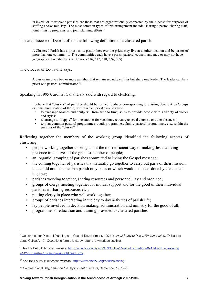"Linked" or "clustered" parishes are those that are organizationally connected by the diocese for purposes of staffing and/or ministry. The most common types of this arrangement include: sharing a pastor, sharing staff, joint ministry programs, and joint planning efforts.<sup>[8](#page-6-0)</sup>

The archdiocese of Detroit offers the following definition of a clustered parish:

A Clustered Parish has a priest as its pastor, however the priest may live at another location and be pastor of more than one community. The communities each have a parish pastoral council, and may or may not have geographical boundaries. (See Canons 516, 517, 518, 536,  $905$ <sup>9</sup>)<sup>9</sup>

The diocese of Louisville says:

A cluster involves two or more parishes that remain separate entities but share one leader. The leader can be a priest or a pastoral administrator.<sup>[10](#page-6-2)</sup>

Speaking in 1995 Cardinal Cahal Daly said with regard to clustering:

I believe that "clusters" of parishes should be formed (perhaps corresponding to existing Senate Area Groups or some modification of these) within which priests would agree:

- to exchange Masses and "pulpits" from time to time, so as to provide people with a variety of voices and styles;
- to arrange to "supply" for one another for vacations, retreats, renewal courses, or other absences;
- to plan common pastoral programmes, youth programmes, family pastoral programmes, etc., within the parishes of the "cluster".[11](#page-6-3)

Reflecting together the members of the working group identified the following aspects of clustering:

- people working together to bring about the most efficient way of making Jesus a living presence in the lives of the greatest number of people;
- an 'organic' grouping of parishes committed to living the Gospel message;
- the coming together of parishes that naturally go together to carry out parts of their mission that could not be done on a parish only basis or which would be better done by the cluster together;
- parishes working together, sharing resources and personnel, lay and ordained;
- groups of clergy meeting together for mutual support and for the good of their individual parishes in sharing resources etc.;
- putting clergy in place who will work together;
- groups of parishes interacting in the day to day activities of parish life;
- lay people involved in decision making, administration and ministry for the good of all;
- programmes of education and training provided to clustered parishes.

<span id="page-6-0"></span><sup>8</sup> Conference for Pastoral Planning and Council Development, *2003 National Study of Parish Reorganization*, (Dubuque: Loras College), 19. Quotations form this study retain the American spelling.

<span id="page-6-1"></span><sup>9</sup> See the Detroit diocesan website: [http://www.aodonline.org/AODOnline/Parish+Information+6911/Parish+Clustering](http://www.aodonline.org/AODOnline/Parish+Information+6911/Parish+Clustering+14276/Parish+Clustering+-+Guidelines1.htm/) [+14276/Parish+Clustering+-+Guidelines1.htm/](http://www.aodonline.org/AODOnline/Parish+Information+6911/Parish+Clustering+14276/Parish+Clustering+-+Guidelines1.htm/).

<span id="page-6-2"></span><sup>10</sup> See the Louisville diocesan website:<http://www.archlou.org/parishplanning/>.

<span id="page-6-3"></span><sup>11</sup> Cardinal Cahal Daly, *Letter on the deployment of priests*, September 19, 1995.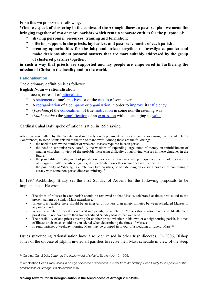From this we propose the following:

**When we speak of clustering in the context of the Armagh diocesan pastoral plan we mean the bringing together of two or more parishes which remain separate entities for the purpose of:**

- **sharing personnel, resources, training and formation;**
- **offering support to the priests, lay leaders and pastoral councils of each parish;**
- **creating opportunities for the laity and priests together to investigate, ponder and make decisions about pastoral matters that are more suitably addressed by the group of clustered parishes together;**

**in such a way that priests are supported and lay people are empowered in furthering the mission of Christ in the locality and in the world.**

#### **Rationalisation**

The dictionary definition is as follows:

#### **English Noun = rationalisation**

The process, or result of [rationalising](http://en.wiktionary.org/wiki/rationalizing)

- A [statement](http://en.wiktionary.org/wiki/statement) of one's [motives,](http://en.wiktionary.org/wiki/motive) or of the [causes](http://en.wiktionary.org/wiki/cause) of some event
- A [reorganisation](http://en.wiktionary.org/wiki/reorganization) of a [company](http://en.wiktionary.org/wiki/company) or [organisation](http://en.wiktionary.org/wiki/organization) in order to [improve](http://en.wiktionary.org/wiki/improve) its [efficiency](http://en.wiktionary.org/wiki/efficiency)
- (*Psychiatry*) the [concealment](http://en.wiktionary.org/wiki/concealment) of true [motivation](http://en.wiktionary.org/wiki/motivation) in some non-threatening way
- *(Mathematics)* the [simplification](http://en.wiktionary.org/wiki/simplification) of an [expression](http://en.wiktionary.org/wiki/expression) without changing its [value](http://en.wiktionary.org/wiki/value)

#### Cardinal Cahal Daly spoke of rationalisation in 1995 saying:

Attention was called by the Senate Working Party on deployment of priests, and also during the recent Clergy Conferences, to some points related to the use of manpower. Among these are the following:

- the need to review the number of weekend Masses required in each parish;
- the need to scrutinise very carefully the wisdom of expending large sums of money on refurbishment of smaller churches, in view of the probable increasing difficulty of supplying Masses in these churches in the future;
- the possibility of realignment of parish boundaries in certain cases, and perhaps even the remoter possibility of merging smaller parishes together, if in particular cases this seemed feasible or useful;
- the possibility of "sharing" a curate over two parishes, or of extending an existing practice of combining a curacy with some non-parish diocesan ministry. [12](#page-7-0)

In 1997 Archbishop Brady set the first Sunday of Advent for the following proposals to be implemented. He wrote:

- The times of Masses in each parish should be reviewed so that Mass is celebrated at times best suited to the present pattern of Sunday Mass attendance.
- Where it is feasible there should be an interval of not less than ninety minutes between scheduled Masses in any one church.
- When the number of priests is reduced in a parish, the number of Masses should also be reduced. Ideally each priest should not have more than two scheduled Sunday Masses per weekend.
- The possibility of one priest covering for another priest, whether in his own or a neighbouring parish, in times of illness or absence, should be considered when determining the times of Masses.
- In rural parishes a weekday morning Mass may be dropped in favour of a wedding or funeral Mass.<sup>[13](#page-7-1)</sup>

Issues surrounding rationalisation have also been raised in other Irish dioceses. In 2006, Bishop Jones of the diocese of Elphin invited all parishes to revise their Mass schedule in view of the steep

<span id="page-7-0"></span><sup>12</sup> Cardinal Cahal Daly, *Letter on the deployment of priests*, September 19, 1995.

<span id="page-7-1"></span><sup>13</sup> Archbishop Sean Brady, *Mass in an age of decline of vocations: a letter from Archbishop Sean Brady to the people of the Archdiocese of Armagh*, 30 November 1997.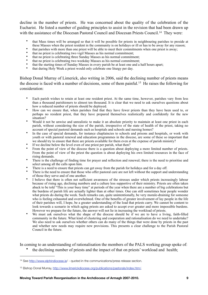decline in the number of priests. He was concerned about the quality of the celebration of the Eucharist. He listed a number of guiding principles to assist in the revision that had been drawn up with the assistance of the Diocesan Pastoral Council and Diocesan Priests Council.<sup>14</sup> They were:

- that Mass times will be arranged so that it will be possible for priests in neighbouring parishes to preside at these Masses when the priest resident in the community is on holidays or ill or has to be away for any reason;
- that parishes with more than one priest will be able to meet their commitments when one priest is away;
- that no priest is celebrating two vigil Masses as his normal commitment;
- that no priest is celebrating three Sunday Masses as his normal commitment;
- that no priest is celebrating two weekday Masses as his normal commitment;
- that the starting times of Sunday Masses in every parish be at least one and a half hours apart;
- that during Holy Week a priest would only celebrate one liturgy per day.

Bishop Donal Murray of Limerick, also writing in 2006, said the declining number of priests means the diocese is faced with a number of decisions, some of them painful.[15](#page-8-1) He raises the following for consideration:

- Each parish wishes to retain at least one resident priest. At the same time, however, parishes vary from less than a thousand parishioners to almost ten thousand. It is clear that we need to ask ourselves questions about how a reduced number of priests should be deployed.
- How can we ensure that, when parishes find that they have fewer priests than they have been used to, or perhaps no resident priest, that they have prepared themselves realistically and confidently for the new situation?
- Would it not be unwise and unrealistic to make it an absolute priority to maintain at least one priest in each parish, without considering the size of the parish, irrespective of the state of health of the priest, taking no account of special pastoral demands such as hospitals and schools and nursing homes?
- In the case of special demands, for instance chaplaincies to schools and prisons and hospitals, or work with youth or with pastoral renewal and education programmes in the diocese, are some of these so important that we should try to ensure that there are priests available for them even at the expense of parish ministry?
- If we decline below the level even of one priest per parish, what then?
- From the point of view of the diocese there is a question about deploying a more limited number of priests. From the point of view of the priest the question is about deploying his own limited resources in the face of rising demands.
- There is the challenge of finding time for prayer and reflection and renewal; there is the need to prioritise and select among all the calls upon him.
- There is a need to ensure that priests can get away from the parish for holidays and for a day off.
- There is the need to ensure that those who offer pastoral care are not left without the support and understanding of those they serve and of one another.
- I believe that there is often not sufficient awareness of the stresses under which priests increasingly labour because of rising age, declining numbers and a culture less supportive of their ministry. Priests are often taken aback to be told "This is your busy time" at periods of the year when there are a number of big celebrations but the burdens of parish life are actually lighter than at other times. One can still sometimes hear people wonder what priests do during the week. Such remarks can, quite unintentionally, be very morale-draining for someone who is feeling exhausted and overwhelmed. One of the benefits of greater involvement of lay people in the life of their parishes will, I hope, be a greater understanding of the load that priests carry. We cannot be content to look towards a scenario in which aging priests are asked to accept ever greater and more impossible burdens. However we prepare for the future, the answer will not lie in increasing the workload of priests.
- We must ask ourselves what the shape of the diocese should be if we are to have a living, faith-filled community in the future. What kind of clustering and cooperation and rationalisation do we need to undertake? We also need to ask ourselves whether others can do many of the things that were done by priests in the past and whether new needs may require new provisions. This presents a clear challenge to the Parish Pastoral Council in the future.

In coming to an understanding of rationalisation the members of the PALS working group spoke of: • the declining number of priests and the impact of that on priests' workload and health;

<span id="page-8-0"></span><sup>14</sup> See<http://www.elphindiocese.ie>/ - quoted in the communications/press release section.

<span id="page-8-1"></span><sup>15</sup> Bishop Donal Murray, [http://www.limerickdiocese.org/publications/pastorals/index.htm/.](http://www.limerickdiocese.org/publications/pastorals/index.htm/)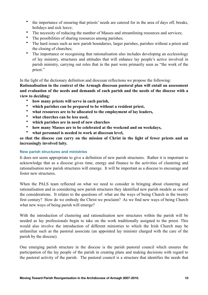- the importance of ensuring that priests' needs are catered for in the area of days off, breaks, holidays and sick leave;
- The necessity of reducing the number of Masses and streamlining resources and services;
- The possibilities of sharing resources among parishes;
- The hard issues such as new parish boundaries, larger parishes, parishes without a priest and the closing of churches;
- The importance or recognising that rationalisation also includes developing an ecclesiology of lay ministry, structures and attitudes that will enhance lay people's active involved in parish ministry, carrying out roles that in the past were primarily seen as "the work of the priest."

In the light of the dictionary definition and diocesan reflections we propose the following:

**Rationalisation in the context of the Armagh diocesan pastoral plan will entail an assessment and evaluation of the needs and demands of each parish and the needs of the diocese with a view to deciding:** 

- **how many priests will serve in each parish,**
- **which parishes can be prepared to be without a resident priest,**
- **what resources are to be allocated to the employment of lay leaders,**
- **what churches can be less used,**
- **which parishes are in need of new churches**
- **how many Masses are to be celebrated at the weekend and on weekdays,**
- **what personnel is needed to work at diocesan level,**

so that the diocese can carry on the mission of Christ in the light of fewer priests and an **increasingly involved laity.**

#### **New parish structures and ministries**

It does not seem appropriate to give a definition of new parish structures. Rather it is important to acknowledge that as a diocese gives time, energy and finance to the activities of clustering and rationalisation new parish structures will emerge. It will be important as a diocese to encourage and foster new structures.

When the PALS team reflected on what we need to consider in bringing about clustering and rationalisation and in considering new parish structures they identified new parish models as one of the considerations. It relates to the questions of: what are the ways of being Church in the twenty first century? How do we embody the Christ we proclaim? As we find new ways of being Church what new ways of being parish will emerge?

With the introduction of clustering and rationalisation new structures within the parish will be needed as lay professionals begin to take on the work traditionally assigned to the priest. This would also involve the introduction of different ministries to which the Irish Church may be unfamiliar such as the pastoral associate (an appointed lay minister charged with the care of the parish by the diocese).

One emerging parish structure in the diocese is the parish pastoral council which ensures the participation of the lay people of the parish in creating plans and making decisions with regard to the pastoral activity of the parish. The pastoral council is a structure that identifies the needs that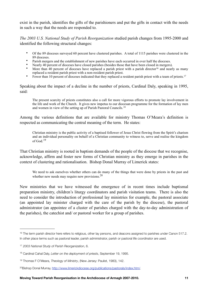exist in the parish, identifies the gifts of the parishioners and put the gifts in contact with the needs in such a way that the needs are responded to.

*The 2003 U.S. National Study of Parish Reorganization* studied parish changes from 1995-2000 and identified the following structural changes:

- Of the 89 dioceses surveyed 60 percent have clustered parishes. A total of 1115 parishes were clustered in the 89 dioceses.
- Parish mergers and the establishment of new parishes have each occurred in over half the dioceses.
- Nearly 40 percent of dioceses have closed parishes (besides those that have been closed in mergers).
- More than 40 percent of dioceses have replaced a parish priest with a parish director<sup>[16](#page-10-0)</sup> and nearly as many replaced a resident parish priest with a non-resident parish priest.
- Fewer than 10 percent of dioceses indicated that they replaced a resident parish priest with a team of priests.<sup>[17](#page-10-1)</sup>

Speaking about the impact of a decline in the number of priests, Cardinal Daly, speaking in 1995, said:

The present scarcity of priests constitutes also a call for more vigorous efforts to promote lay involvement in the life and work of the Church. It gives new impetus to our diocesan programme for the formation of lay men and women in view of the setting up of Parish Pastoral Councils.[18](#page-10-2)

Among the various definitions that are available for ministry Thomas O'Meara's definition is respected as communicating the central meaning of the term. He states:

Christian ministry is the public activity of a baptised follower of Jesus Christ flowing from the Spirit's charism and an individual personality on behalf of a Christian community to witness to, serve and realise the kingdom of God $^{19}$  $^{19}$  $^{19}$ 

That Christian ministry is rooted in baptism demands of the people of the diocese that we recognise, acknowledge, affirm and foster new forms of Christian ministry as they emerge in parishes in the context of clustering and rationalisation. Bishop Donal Murray of Limerick states:

We need to ask ourselves whether others can do many of the things that were done by priests in the past and whether new needs may require new provisions.<sup>[20](#page-10-4)</sup>

New ministries that we have witnessed the emergence of in recent times include baptismal preparation ministry, children's liturgy coordinators and parish visitation teams. There is also the need to consider the introduction of professional lay ministries for example, the pastoral associate (an appointed lay minister charged with the care of the parish by the diocese), the pastoral administrator (an appointee of a cluster of parishes charged with the day-to-day administration of the parishes), the catechist and/ or pastoral worker for a group of parishes.

<span id="page-10-0"></span><sup>&</sup>lt;sup>16</sup> The term parish director here refers to religious, other lay persons, and deacons assigned to parishes under Canon 517.2. In other place terms such as pastoral leader, parish administrator, parish or pastoral life coordinator are used.

<span id="page-10-1"></span><sup>17</sup> *2003 National Study of Parish Reorganization*, 6.

<span id="page-10-2"></span><sup>18</sup> Cardinal Cahal Daly, *Letter on the deployment of priests*, September 19, 1995.

<span id="page-10-3"></span><sup>19</sup> Thomas F O'Meara, *Theology of Ministry*, (New Jersey: Paulist, 1983), 142.

<span id="page-10-4"></span><sup>20</sup>Bishop Donal Murray, <http://www.limerickdiocese.org/publications/pastorals/index.htm/>.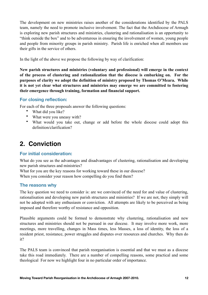The development on new ministries raises another of the considerations identified by the PALS team, namely the need to promote inclusive involvement. The fact that the Archdiocese of Armagh is exploring new parish structures and ministries, clustering and rationalisation is an opportunity to "think outside the box" and to be adventurous in ensuring the involvement of women, young people and people from minority groups in parish ministry. Parish life is enriched when all members use their gifts in the service of others.

In the light of the above we propose the following by way of clarification:

**New parish structures and ministries (voluntary and professional) will emerge in the context of the process of clustering and rationalization that the diocese is embarking on. For the purposes of clarity we adopt the definition of ministry proposed by Thomas O'Meara. While it is not yet clear what structures and ministries may emerge we are committed to fostering their emergence through training, formation and financial support.**

# **For closing reflection:**

For each of the three proposals answer the following questions:

- What did you like?
- What were you uneasy with?
- What would you take out, change or add before the whole diocese could adopt this definition/clarification?

# **2. Conviction**

# **For initial consideration:**

What do you see as the advantages and disadvantages of clustering, rationalisation and developing new parish structures and ministries?

What for you are the key reasons for working toward these in our diocese? When you consider your reason how compelling do you find them?

# **The reasons why**

The key question we need to consider is: are we convinced of the need for and value of clustering, rationalisation and developing new parish structures and ministries? If we are not, they simply will not be adopted with any enthusiasm or conviction. All attempts are likely to be perceived as being imposed and therefore worthy of resistance and opposition.

Plausible arguments could be formed to demonstrate why clustering, rationalisation and new structures and ministries should not be pursued in our diocese. It may involve more work, more meetings, more travelling, changes in Mass times, less Masses, a loss of identity, the loss of a resident priest, resistance, power struggles and disputes over resources and churches. Why then do it?

The PALS team is convinced that parish reorganisation is essential and that we must as a diocese take this road immediately. There are a number of compelling reasons, some practical and some theological For now we highlight four in no particular order of importance.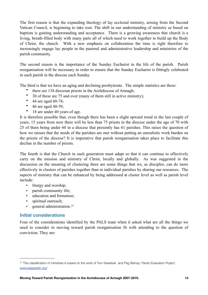The first reason is that the expanding theology of lay ecclesial ministry, arising from the Second Vatican Council, is beginning to take root. The shift in our understanding of ministry as based on baptism is gaining understanding and acceptance. There is a growing awareness that church is a living, breath-filled body with many parts all of which need to work together to build up the Body of Christ, the church. With a new emphasis on collaboration the time is right therefore to increasingly engage lay people in the pastoral and administrative leadership and ministries of the parish community.

The second reason is the importance of the Sunday Eucharist in the life of the parish. Parish reorganisation will be necessary in order to ensure that the Sunday Eucharist is fittingly celebrated in each parish in the diocese each Sunday.

The third is that we have an aging and declining presbyterate. The simple statistics are these:

- there are 138 diocesan priests in the Archdiocese of Armagh;
- 30 of these are 75 and over (many of them still in active ministry);
- 44 are aged 60-74;
- $\bullet$  46 are aged 40-59;
- 18 are under 40 years of age.

It is therefore possible that, even though there has been a slight upward trend in the last couple of years, 15 years from now there will be less than 75 priests in the diocese under the age of 70 with 25 of them being under 60 in a diocese that presently has 61 parishes. This raises the question of how we ensure that the needs of the parishes are met without putting an unrealistic work burden on the priests of the diocese? It is imperative that parish reorganisation takes place to facilitate this decline in the number of priests.

The fourth is that the Church in each generation must adapt so that it can continue to effectively carry on the mission and ministry of Christ, locally and globally. As was suggested in the discussion on the meaning of clustering there are some things that we, as disciples, can do more effectively in clusters of parishes together than in individual parishes by sharing our resources. The aspects of ministry that can be enhanced by being addressed at cluster level as well as parish level include:

- liturgy and worship;
- parish community life;
- education and formation;
- spiritual outreach;
- general administration.<sup>21</sup>

# **Initial considerations**

Four of the considerations identified by the PALS team when it asked what are all the things we need to consider in moving toward parish reorganisation fit with attending to the question of conviction. They are:

<span id="page-12-0"></span><sup>21</sup> This classification of ministries is based on the work of Tom Sweetser and Peg Bishop, *Parish Evaluation Project*. [www.pepparish.org/](http://www.pepparish.org).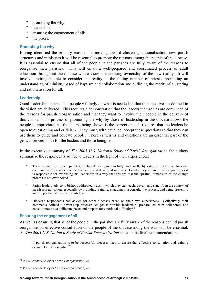- promoting the why;
- leadership;
- ensuring the engagement of all;
- the priest.

#### **Promoting the why**

Having identified the primary reasons for moving toward clustering, rationalisation, new parish structures and ministries it will be essential to promote the reasons among the people of the diocese. It is essential to ensure that all of the people in the parishes are fully aware of the reasons to reorganise their parishes. This will entail a well-prepared and coordinated process of adult education throughout the diocese with a view to increasing ownership of the new reality. It will involve inviting people to consider the reality of the falling number of priests, promoting an understanding of ministry based of baptism and collaboration and outlining the merits of clustering and rationalisation for all.

#### **Leadership**

Good leadership ensures that people willingly do what is needed so that the objectives as defined in the vision are delivered. This requires a demonstration that the leaders themselves are convinced of the reasons for parish reorganisation and that they want to involve their people in the delivery of this vision. This process of promoting the why by those in leadership in the diocese allows the people to appreciate that the course being shown is the correct one. It requires that the leaders be open to questioning and criticism. They must, with patience, accept these questions so that they can use them to guide and educate people. These criticisms and questions are an essential part of the growth process both for the leaders and those being led.

In the executive summary of *The 2003 U.S. National Study of Parish Reorganization* the authors summarise the respondents advice to leaders in the light of their experiences:

- Their advice for other parishes included: a) plan carefully and well; b) establish effective two-way communication; and c) practice leadership and develop it in others. Finally, they stressed that the parish priest is responsible for exercising his leadership in a way that ensures that the spiritual dimension of the change process is not overlooked.
- Parish leaders' advice to bishops addressed ways in which they can teach, govern and sanctify in the context of parish reorganisation, especially by providing training, engaging in a consultative process, and being present to and supportive of those at parish level.
- Diocesan respondents had advice for other dioceses based on their own experiences. Collectively their comments defined a seven-step process: set goals; provide leadership; prepare; educate; collaborate and consult; move at a deliberate pace; and prepare for emotional difficulty.<sup>[22](#page-13-0)</sup>

#### **Ensuring the engagement of all**

As well as ensuring that all of the people in the parishes are fully aware of the reasons behind parish reorganisation effective consultation of the people of the diocese along the way will be essential. As *The 2003 U.S. National Study of Parish Reorganization* states in its final recommendations:

If parish reorganization is to be successful, dioceses need to ensure that effective consultation and training occur. Both are essential.[23](#page-13-1)

<span id="page-13-0"></span><sup>22</sup> *2003 National Study of Parish Reorganization*, vii.

<span id="page-13-1"></span><sup>23</sup> *2003 National Study of Parish Reorganization*, viii.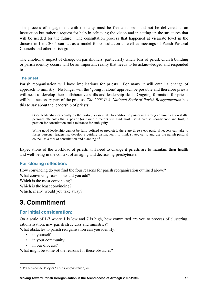The process of engagement with the laity must be free and open and not be delivered as an instruction but rather a request for help in achieving the vision and in setting up the structures that will be needed for the future. The consultation process that happened at vicariate level in the diocese in Lent 2005 can act as a model for consultation as well as meetings of Parish Pastoral Councils and other parish groups.

The emotional impact of change on parishioners, particularly where loss of priest, church building or parish identity occurs will be an important reality that needs to be acknowledged and responded to.

#### **The priest**

Parish reorganisation will have implications for priests. For many it will entail a change of approach to ministry. No longer will the 'going it alone' approach be possible and therefore priests will need to develop their collaborative skills and leadership skills. Ongoing formation for priests will be a necessary part of the process. *The 2003 U.S. National Study of Parish Reorganization* has this to say about the leadership of priests:

Good leadership, especially by the pastor, is essential. In addition to possessing strong communication skills, personal attributes that a pastor (or parish director) will find most useful are: self-confidence and trust, a passion for consultation and a tolerance for ambiguity.

While good leadership cannot be fully defined or predicted, there are three steps pastoral leaders can take to foster personal leadership; develop a guiding vision; learn to think strategically; and use the parish pastoral council as a tool of consultation and planning.<sup>[24](#page-14-0)</sup>

Expectations of the workload of priests will need to change if priests are to maintain their health and well-being in the context of an aging and decreasing presbyterate.

# **For closing reflection:**

How convincing do you find the four reasons for parish reorganisation outlined above? What convincing reasons would you add?

Which is the most convincing?

Which is the least convincing?

Which, if any, would you take away?

# **3. Commitment**

# **For initial consideration:**

On a scale of 1-7 where 1 is low and 7 is high, how committed are you to process of clustering, rationalisation, new parish structures and ministries?

What obstacles to parish reorganisation can you identify:

- in yourself;
- in your community;
- in our diocese?

What might be some of the reasons for these obstacles?

<span id="page-14-0"></span><sup>24</sup> *2003 National Study of Parish Reorganization*, viii.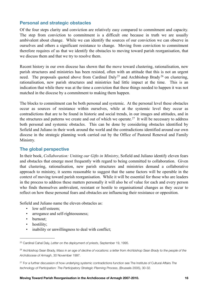# **Personal and strategic obstacles**

Of the four steps clarity and conviction are relatively easy compared to commitment and capacity. The step from conviction to commitment is a difficult one because in truth we are usually ambivalent about change. While we can identify the sources of our conviction we can observe in ourselves and others a significant resistance to change. Moving from conviction to commitment therefore requires of us that we identify the obstacles to moving toward parish reorganisation, that we discuss them and that we try to resolve them.

Recent history in our own diocese has shown that the move toward clustering, rationalisation, new parish structures and ministries has been resisted, often with an attitude that this is not an urgent need. The proposals quoted above from Cardinal Daly<sup>[25](#page-15-0)</sup> and Archbishop Brady<sup>[26](#page-15-1)</sup> on clustering, rationalisation, new parish structures and ministries had little impact at the time. This is an indication that while there was at the time a conviction that these things needed to happen it was not matched in the diocese by a commitment to making them happen.

The blocks to commitment can be both personal and systemic. At the personal level these obstacles occur as sources of resistance within ourselves, while at the systemic level they occur as contradictions that are to be found in historic and social trends, in our images and attitudes, and in the structures and patterns we create and out of which we operate.<sup>27</sup> It will be necessary to address both personal and systemic obstacles. This can be done by considering obstacles identified by Sofield and Juliano in their work around the world and the contradictions identified around our own diocese in the strategic planning work carried out by the Office of Pastoral Renewal and Family Ministry.

# **The global perspective**

In their book, *Collaboration: Uniting our Gifts in Ministry*, Sofield and Juliano identify eleven fears and obstacles that emerge most frequently with regard to being committed to collaboration. Given that clustering, rationalisation, new parish structures and ministries demand a collaborative approach to ministry, it seems reasonable to suggest that the same factors will be operable in the context of moving toward parish reorganisation. While it will be essential for those who are leaders in the process to address these matters personally it will also be of value for each and every person who finds themselves ambivalent, resistant or hostile to organisational changes as they occur to reflect on how these personal fears and obstacles are influencing their resistance or opposition.

Sofield and Juliano name the eleven obstacles as:

- low self-esteem;
- arrogance and self-righteousness;
- burnout;
- hostility;
- inability or unwillingness to deal with conflict;

<span id="page-15-0"></span><sup>25</sup> Cardinal Cahal Daly, *Letter on the deployment of priests*, September 19, 1995.

<span id="page-15-1"></span><sup>&</sup>lt;sup>26</sup> Archbishop Sean Brady, Mass in an age of decline of vocations: a letter from Archbishop Sean Brady to the people of the *Archdiocese of Armagh*, 30 November 1997.

<span id="page-15-2"></span><sup>27</sup> For a further discussion of how underlying systemic contradictions function see The Institute of Cultural Affairs *The technology of Participation: The Participatory Strategic Planning Process*, (Brussels 2005), 30-32.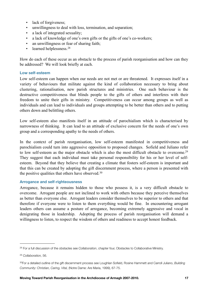- lack of forgiveness;
- unwillingness to deal with loss, termination, and separation;
- a lack of integrated sexuality;
- a lack of knowledge of one's own gifts or the gifts of one's co-workers;
- an unwillingness or fear of sharing faith;
- learned helplessness.<sup>28</sup>

How do each of these occur as an obstacle to the process of parish reorganisation and how can they be addressed? We will look briefly at each.

#### **Low self-esteem**

Low self-esteem can happen when our needs are not met or are threatened. It expresses itself in a variety of behaviours that militate against the kind of collaboration necessary to bring about clustering, rationalisation, new parish structures and ministries. One such behaviour is the destructive competitiveness that blinds people to the gifts of others and interferes with their freedom to unite their gifts in ministry. Competitiveness can occur among groups as well as individuals and can lead to individuals and groups attempting to be better than others and to putting others down and belittling others.

Low self-esteem also manifests itself in an attitude of parochialism which is characterised by narrowness of thinking. It can lead to an attitude of exclusive concern for the needs of one's own group and a corresponding apathy to the needs of others.

In the context of parish reorganisation, low self-esteem manifested in competitiveness and parochialism could turn into aggressive opposition to proposed changes. Sofield and Juliano refer to low self-esteem as the major obstacle which is also the most difficult obstacle to overcome[.29](#page-16-1) They suggest that each individual must take personal responsibility for his or her level of selfesteem. Beyond that they believe that creating a climate that fosters self-esteem is important and that this can be created by adopting the gift discernment process, where a person is presented with the positive qualities that others have observed.<sup>[30](#page-16-2)</sup>

#### **Arrogance and self-righteousness**

Arrogance, because it remains hidden to those who possess it, is a very difficult obstacle to overcome. Arrogant people are not inclined to work with others because they perceive themselves as better than everyone else. Arrogant leaders consider themselves to be superior to others and that therefore if everyone were to listen to them everything would be fine. In encountering arrogant leaders others can assume a posture of arrogance, becoming extremely aggressive and vocal in denigrating those in leadership. Adopting the process of parish reorganisation will demand a willingness to listen, to respect the wisdom of others and readiness to accept honest feedback.

<span id="page-16-0"></span><sup>28</sup> For a full discussion of the obstacles see *Collaboration*, chapter four, Obstacles to Collaborative Ministry.

<span id="page-16-1"></span><sup>29</sup> *Collaboration,* 56.

<span id="page-16-2"></span><sup>30</sup>For a detailed outline of the gift discernment process see Loughlan Sofield, Rosine Hammett and Carroll Juliano, *Building Community: Christian, Caring, Vital,* (Notre Dame: Are Maria, 1999), 67-75.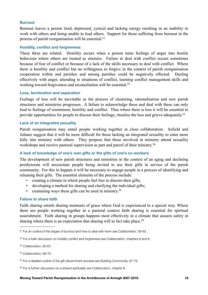#### **Burnout**

Burnout leaves a person tired, depressed, cynical and lacking energy resulting in an inability to work with others and being unable to lead others. Support for those suffering from burnout in the process of parish reorganisation will be essential.[31](#page-17-0)

#### **Hostility, conflict and forgiveness**

These three are related. Hostility occurs when a person turns feelings of anger into hostile behaviour where others are treated as enemies. Failure to deal with conflict occurs sometimes because of fear of conflict or because of a lack of the skills necessary to deal with conflict. Where there is hostility and conflict but no willingness to forgive in the context of parish reorganisation cooperation within and parishes and among parishes could be negatively effected. Dealing effectively with anger, attending to situations of conflict, learning conflict management skills and working toward forgiveness and reconciliation will be essential.<sup>[32](#page-17-1)</sup>

#### **Loss, termination and separation**

Feelings of loss will be inevitable as the process of clustering, rationalisation and new parish structures and ministries progresses. A failure to acknowledge these and deal with these can only lead to feelings of resentment, hostility and conflict. Thus where there is loss it will be essential to provide opportunities for people to discuss their feelings, ritualise the loss and grieve adequately.<sup>[33](#page-17-2)</sup>

#### **Lack of an integrated sexuality**

Parish reorganisation may entail people working together in close collaboration. Sofield and Juliano suggest that it will be more difficult for those lacking an integrated sexuality to enter more fully into ministry with others. They propose that those involved in ministry attend sexuality workshops and receive pastoral supervision as part and parcel of their ministry.<sup>[34](#page-17-3)</sup>

#### **A lack of knowledge of one's own gifts or the gifts of one's co-workers**

The development of new parish structures and ministries in the context of an aging and declining presbyterate will necessitate people being invited to use their gifts in service of the parish community. For this to happen it will be necessary to engage people in a process of identifying and releasing their gifts. The essential elements of the process include:

- creating a climate in which people feel free to discern their gifts;
- developing a method for sharing and clarifying the individual gifts;
- examining ways these gifts can be used in ministry.<sup>[35](#page-17-4)</sup>

#### **Failure to share faith**

Faith sharing entails sharing moments of grace where God is experienced in a special way. Where there are people working together in a pastoral context faith sharing is essential for spiritual nourishment. Faith sharing in groups happens most effectively in a climate that assures safety in sharing where there is an expectation that sharing will in fact take place.<sup>[36](#page-17-5)</sup>

<span id="page-17-0"></span><sup>31</sup> For an outline of the stages of burnout and how to deal with them see *Collaboration,* 58-63.

<span id="page-17-1"></span><sup>32</sup> For a fuller discussion on hostility conflict and forgiveness see *Collaboration,* chapters 6 and 8.

<span id="page-17-2"></span><sup>33</sup> *Collaboration*, 65-67.

<span id="page-17-3"></span><sup>34</sup> *Collaboration,* 68-70.

<span id="page-17-4"></span><sup>35</sup> For a detailed outline of the gift discernment process see *Building Community,* 67-75.

<span id="page-17-5"></span><sup>36</sup> For a further discussion on a shared spirituality see *Collaboration,* chapter 6.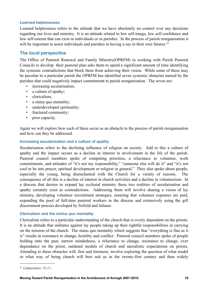#### **Learned helplessness**

Learned helplessness refers to the attitude that we have absolutely no control over any decisions regarding our lives and ministry. It is an attitude related to low self-image, low self confidence and low self-esteem that can exist in individuals or in parishes. In the process of parish reorganisation it will be important to assist individuals and parishes in having a say in their own futures.<sup>[37](#page-18-0)</sup>

### **The local perspective**

The Office of Pastoral Renewal and Family Ministry(OPRFM) in working with Parish Pastoral Councils to develop their pastoral plan asks them to spend a significant amount of time identifying the systemic contradictions that block them from achieving their vision. While some of these may be peculiar to a particular parish the OPRFM has identified seven systemic obstacles named by the parishes that could negatively impact commitment to parish reorganisation. The seven are:

- increasing secularisation;
- a culture of apathy;
- clericalism;
- a status quo mentality;
- underdeveloped spirituality:
- fractured community;
- poor capacity.

Again we will explore how each of these occur as an obstacle to the process of parish reorganisation and how can they be addressed.

#### **Increasing secularisation and a culture of apathy**

Secularisation refers to the declining influence of religion on society. Add to this a culture of apathy and the impact occurs as a decline in interest in involvement in the life of the parish. Pastoral council members spoke of competing priorities, a reluctance to volunteer, work commitments, and attitudes of "it's not my responsibility," "someone else will do it" and "it's not cool to be into prayer, spiritual development or religion in general." They also spoke about people, especially the young, being disenchanted with the Church for a variety of reasons. The consequence of all this is a decline of interest in church activities and a decline in volunteerism. In a diocese that desires to expand lay ecclesial ministry these two realities of secularisation and apathy certainly exist as contradictions. Addressing them will involve sharing a vision of lay ministry, developing volunteer recruitment strategies, ensuring that volunteer expenses are paid, expanding the pool of full-time pastoral workers in the diocese and extensively using the gift discernment process developed by Sofield and Juliano.

#### **Clericalism and the** *status quo* **mentality**

Clericalism refers to a particular understanding of the church that is overly dependent on the priests. It is an attitude that militates against lay people taking up their rightful responsibilities in carrying on the mission of the church. The status quo mentality which suggests that "everything is fine as it is" results in resistance to change, hostility and conflict. Pastoral council members spoke of people holding onto the past, narrow mindedness, a reluctance to change, resistance to change, over dependance on the priest, outdated models of church and unrealistic expectations on priests. Attending to these obstacles will, first and foremost, involve exploring the question of what model or what way of being church will best suit us in the twenty-first century and then widely

<span id="page-18-0"></span><sup>37</sup> *Collaboration,* 70-71.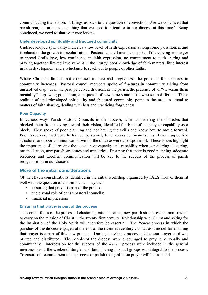communicating that vision. It brings us back to the question of conviction. Are we convinced that parish reorganisation is something that we need to attend to in our diocese at this time? Being convinced, we need to share our convictions.

#### **Underdeveloped spirituality and fractured community**

Underdeveloped spirituality indicates a low level of faith expression among some parishioners and is related to the growth in secularisation. Pastoral council members spoke of there being no hunger to spread God's love, low confidence in faith expression, no commitment to faith sharing and praying together, limited involvement in the liturgy, poor knowledge of faith matters, little interest in faith development and a reluctance to reach out to people of other faiths.

Where Christian faith is not expressed in love and forgiveness the potential for fractures in community increases. Pastoral council members spoke of fractures in community arising from unresolved disputes in the past, perceived divisions in the parish, the presence of an "us versus them mentality," a growing population, a suspicion of newcomers and those who seem different. These realities of underdeveloped spirituality and fractured community point to the need to attend to matters of faith sharing, dealing with loss and practicing forgiveness.

#### **Poor Capacity**

In various ways Parish Pastoral Councils in the diocese, when considering the obstacles that blocked them from moving toward their vision, identified the issue of capacity or capability as a block. They spoke of poor planning and not having the skills and know how to move forward. Poor resources, inadequately trained personnel, little access to finances, insufficient supportive structures and poor communication within the diocese were also spoken of. These issues highlight the importance of addressing the question of capacity and capability when considering clustering, rationalisation, new parish structures and ministries. Ensuring that there is good planning, adequate resources and excellent communication will be key to the success of the process of parish reorganisation in our diocese.

# **More of the initial considerations**

Of the eleven considerations identified in the initial workshop organised by PALS three of them fit well with the question of commitment. They are:

- ensuring that prayer is part of the process;
- the pivotal role of parish pastoral councils;
- financial implications.

#### **Ensuring that prayer is part of the process**

The central focus of the process of clustering, rationalisation, new parish structures and ministries is to carry on the mission of Christ in the twenty-first century. Relationship with Christ and asking for the inspiration of the Holy Spirit will therefore be essential. The *Renew* process in which the parishes of the diocese engaged at the end of the twentieth century can act as a model for ensuring that prayer is a part of this new process. During the *Renew* process a diocesan prayer card was printed and distributed. The people of the diocese were encouraged to pray it personally and communally. Intercession for the success of the *Renew* process were included in the general intercessions at the weekend liturgies and faith sharing in small groups was integral to the process. To ensure our commitment to the process of parish reorganisation prayer will be essential.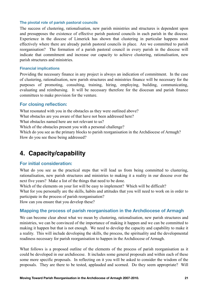#### **The pivotal role of parish pastoral councils**

The success of clustering, rationalisation, new parish ministries and structures is dependent upon and presupposes the existence of effective parish pastoral councils in each parish in the diocese. Experience in the diocese of Limerick has shown that clustering in particular happens most effectively where there are already parish pastoral councils in place. Are we committed to parish reorganisation? The formation of a parish pastoral council in every parish in the diocese will indicate that commitment and increase our capacity to achieve clustering, rationalisation, new parish structures and ministries.

#### **Financial implications**

Providing the necessary finance in any project is always an indication of commitment. In the case of clustering, rationalisation, new parish structures and ministries finance will be necessary for the purposes of promoting, consulting, training, hiring, employing, building, communicating, evaluating and reimbursing. It will be necessary therefore for the diocesan and parish finance committees to make provision for the venture.

# **For closing reflection:**

What resonated with you in the obstacles as they were outlined above?

What obstacles are you aware of that have not been addressed here?

What obstacles named here are not relevant to us?

Which of the obstacles present you with a personal challenge?

Which do you see as the primary blocks to parish reorganisation in the Archdiocese of Armagh? How do you see these being addressed?

# **4. Capacity/capability**

# **For initial consideration:**

What do you see as the practical steps that will lead us from being committed to clustering, rationalisation, new parish structures and ministries to making it a reality in our diocese over the next five years? Make a list of the things that need to be done.

Which of the elements on your list will be easy to implement? Which will be difficult?

What for you personally are the skills, habits and attitudes that you will need to work on in order to participate in the process of parish reorganisation?

How can you ensure that you develop these?

# **Mapping the process of parish reorganisation in the Archdiocese of Armagh**

We can become clear about what we mean by clustering, rationalisation, new parish structures and ministries, we can be convinced of the importance of making it happen and we can be committed to making it happen but that is not enough. We need to develop the capacity and capability to make it a reality. This will include developing the skills, the process, the spirituality and the developmental readiness necessary for parish reorganisation to happen in the Archdiocese of Armagh.

What follows is a proposed outline of the elements of the process of parish reorganisation as it could be developed in our archdiocese. It includes some general proposals and within each of these some more specific proposals. In reflecting on it you will be asked to consider the wisdom of the proposals. They are there to be tested, applauded and scorned. Do they seem appropriate? Will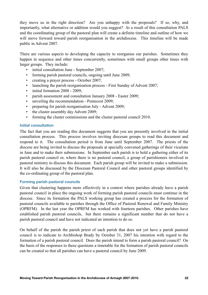they move us in the right direction? Are you unhappy with the proposals? If so, why, and importantly, what alternative or addition would you suggest? At a result of this consultation PALS and the coordinating group of the pastoral plan will create a definite timeline and outline of how we will move forward toward parish reorganisation in the archdiocese. This timeline will be made public in Advent 2007.

There are various aspects to developing the capacity to reorganise our parishes. Sometimes they happen in sequence and other times concurrently, sometimes with small groups other times with larger groups. They include:

- initial consultation June September 2007;
- forming parish pastoral councils, ongoing until June 2009;
- creating a prayer process October 2007;
- launching the parish reorganisation process First Sunday of Advent 2007;
- initial formation 2008 2009;
- parish assessment and consultation January 2008 Easter 2009;
- unveiling the recommendation Pentecost 2009;
- preparing for parish reorganisation July Advent 2009;
- the cluster assembly day Advent 2009;
- forming the cluster commissions and the cluster pastoral council 2010.

#### **Initial consultation**

The fact that you are reading this document suggests that you are presently involved in the initial consultation process. This process involves inviting diocesan groups to read this document and respond to it. The consultation period is from June until September 2007. The priests of the diocese are being invited to discuss the proposals at specially convened gatherings of their vicariate in June and to make their submissions. In September each parish is to hold a gathering either of its parish pastoral council or, where there is no pastoral council, a group of parishioners involved in pastoral ministry to discuss this document. Each parish group will be invited to make a submission. It will also be discussed by the Diocesan Pastoral Council and other pastoral groups identified by the co-ordinating group of the pastoral plan.

#### **Forming parish pastoral councils**

Given that clustering happens more effectively in a context where parishes already have a parish pastoral council in place the ongoing work of forming parish pastoral councils must continue in the diocese. Since its formation the PALS working group has created a process for the formation of pastoral councils available to parishes through the Office of Pastoral Renewal and Family Ministry (OPRFM). In the last year the OPRFM has worked with fourteen parishes. Other parishes have established parish pastoral councils, but there remains a significant number that do not have a parish pastoral council and have not indicated an intention to do so.

On behalf of the parish the parish priest of each parish that does not yet have a parish pastoral council is to indicate to Archbishop Brady by October 31, 2007 his intention with regard to the formation of a parish pastoral council. Does the parish intend to form a parish pastoral council? On the basis of the responses to these questions a timetable for the formation of parish pastoral councils can be created so that all parishes can have a pastoral council by June 2009.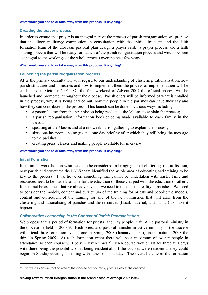#### **What would you add to or take away from this proposal, if anything?**

#### **Creating the prayer process**

In order to ensure that prayer is an integral part of the process of parish reorganisation we propose that the diocesan liturgy commission in consultation with the spirituality team and the faith formation team of the diocesan pastoral plan design a prayer card, a prayer process and a faith sharing process that will be ready for launch of the parish reorganisation process and would be seen as integral to the workings of the whole process over the next few years.

#### **What would you add to or take away from this proposal, if anything?**

#### **Launching the parish reoganisation process**

After the primary consultation with regard to our understanding of clustering, rationalisation, new parish structures and ministries and how to implement them the process of implementation will be established in October 2007. On the first weekend of Advent 2007 the official process will be launched and promoted throughout the diocese. Parishioners will be informed of what is entailed in the process, why it is being carried out, how the people in the parishes can have their say and how they can contribute to the process. This launch can be done in various ways including:

- a pastoral letter from the Archbishop being read at all the Masses to explain the process;
- a parish reorganisation information booklet being made available to each family in the parish;
- speaking at the Masses and at a midweek parish gathering to explain the process;
- sixty one lay people being given a one-day briefing after which they will bring the message to the parishes;
- creating press releases and making people available for interview.

#### **What would you add to or take away from this proposal, if anything?**

#### **Initial Formation**

In its initial workshop on what needs to be considered in bringing about clustering, rationalisation, new parish and structures the PALS team identified the whole area of educating and training to be key to the process. It is, however, something that cannot be undertaken with haste. Time and resources need to be made available for the education of those charged with the education of others. It must not be assumed that we already have all we need to make this a reality in parishes. We need to consider the models, content and curriculum of the training for priests and people; the models, content and curriculum of the training for any of the new ministries that will arise from the clustering and rationalising of parishes and the resources (fiscal, material, and human) to make it happen.

#### *Collaborative Leadership in the Context of Parish Reorganisation*

We propose that a period of formation for priests and lay people in full-time pastoral ministry in the diocese be held in 2008/9. Each priest and pastoral minister in active ministry in the diocese will attend three formation events, one in Spring 2008 (January - June), one in autumn 2008 the third in Spring 2009. At each formation event there will be a maximum of twenty people in attendance so each course will be run seven times.<sup>[38](#page-22-0)</sup> Each course would last for three full days with there being the possibility of it being residential. If the courses were residential they could begin on Sunday evening, finishing with lunch on Thursday. The overall theme of the formation

<span id="page-22-0"></span><sup>38</sup> This will also ensure that no area of the diocese has too many priests away at the one time.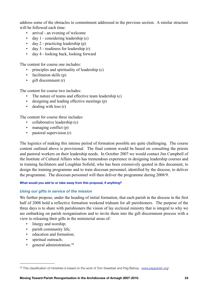address some of the obstacles to commitment addressed in the previous section. A similar structure will be followed each time:

- arrival an evening of welcome
- day 1 considering leadership (c)
- day 2 practicing leadership (p)
- day 3 readiness for leadership (r)
- day 4 looking back, looking forward

The content for course one includes:

- principles and spirituality of leadership (c)
- facilitation skills (p)
- gift discernment (r)

The content for course two includes:

- The nature of teams and effective team leadership (c)
- designing and leading effective meetings (p)
- $\cdot$  dealing with loss  $(r)$

The content for course three includes:

- collaborative leadership (c)
- managing conflict (p)
- pastoral supervision (r)

The logistics of making this intense period of formation possible are quite challenging. The course content outlined above is provisional. The final content would be based on consulting the priests and pastoral workers on their leadership needs. In October 2007 we would contact Jim Campbell of the Institute of Cultural Affairs who has tremendous experience in designing leadership courses and in training facilitators and Loughlan Sofield, who has been extensively quoted in this document, to design the training programme and to train diocesan personnel, identified by the diocese, to deliver the programme. The diocesan personnel will then deliver the programme during 2008/9.

#### **What would you add to or take away from this proposal, if anything?**

#### *Using our gifts in service of the mission*

We further propose, under the heading of initial formation, that each parish in the diocese in the first half of 2008 hold a reflective formation weekend triduum for all parishioners. The purpose of the three days is to share with parishioners the vision of lay ecclesial ministry that is integral to why we are embarking on parish reorganisation and to invite them into the gift discernment process with a view to releasing their gifts in the ministerial areas of:

- liturgy and worship;
- parish community life;
- education and formation;
- spiritual outreach:
- general administration.<sup>39</sup>

<span id="page-23-0"></span><sup>39</sup> This classification of ministries is based on the work of Tom Sweetser and Peg Bishop, [www.pepparish.org](http://www.pepparish.org)/.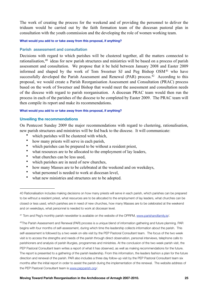The work of creating the process for the weekend and of providing the personnel to deliver the triduum would be carried out by the faith formation team of the diocesan pastoral plan in consultation with the youth commission and the developing the role of women working team.

**What would you add to or take away from this proposal, if anything?**

#### **Parish assessment and consultation**

Decisions with regard to which parishes will be clustered together, all the matters connected to rationalisation,<sup>40</sup> ideas for new parish structures and ministries will be based on a process of parish assessment and consultation. We propose that it be held between January 2008 and Easter 2009 informed and shaped by the work of Tom Sweetser SJ and Peg Bishop  $OSM<sup>41</sup>$  $OSM<sup>41</sup>$  $OSM<sup>41</sup>$  who have successfully developed the Parish Assessment and Renewal (PAR) process.<sup>[42](#page-24-2)</sup> According to this proposal, we would create a Parish Reorganisation Assessment and Consultation (PRAC) process based on the work of Sweetser and Bishop that would meet the assessment and consultation needs of the diocese with regard to parish reorganisation. A diocesan PRAC team would then run the process in each of the parishes of the diocese to be completed by Easter 2009. The PRAC team will then compile its report and make its recommendations.

#### **What would you add to or take away from this proposal, if anything?**

#### **Unveiling the recommendations**

On Pentecost Sunday 2009 the major recommendations with regard to clustering, rationalisation, new parish structures and ministries will be fed back to the diocese. It will communicate:

- which parishes will be clustered with which,
- how many priests will serve in each parish,
- which parishes can be prepared to be without a resident priest,
- what resources are to be allocated to the employment of lay leaders,
- what churches can be less used,
- which parishes are in need of new churches,
- how many Masses are to be celebrated at the weekend and on weekdays,
- what personnel is needed to work at diocesan level,
- what new ministries and structures are to be adopted.

<span id="page-24-0"></span><sup>40</sup> Rationalisation includes making decisions on how many priests will serve in each parish, which parishes can be prepared to be without a resident priest, what resources are to be allocated to the employment of lay leaders, what churches can be closed or less used, which parishes are in need of new churches, how many Masses are to be celebrated at the weekend and on weekdays, what personnel is needed to work at diocesan level.

<span id="page-24-1"></span><sup>41</sup> Tom and Peg's monthly parish newsletter is available on the website of the OPRFM, [www.parishandfamily.ie/](http://www.parishandfamily.ie).

<span id="page-24-2"></span><sup>42</sup>The Parish Assessment and Renewal (PAR) process is a unique blend of information gathering and future planning. PAR begins with four months of self-assessment, during which time the leadership collects information about the parish. This self-assessment is followed by a two week on-site visit by the PEP Pastoral Consultant team. The focus of the two week visit is to access the strengths and needs of the parish through direct observation, personal interviews, telephone calls to parishioners and analysis of parish liturgies, programmes and ministries. At the conclusion of the two week parish visit, the PEP Pastoral Consultant team writes a report of what it has observed, as well as making recommendations for the future. The report is presented to a gathering of the parish leadership. From this information, the leaders fashion a plan for the future direction and renewal of the parish. PAR also includes a three day follow-up visit by the PEP Pastoral Consultant team six months after the initial report in order to assist the parish during the implementation of the renewal. The website address of the PEP Pastoral Consultant team is [www.pepparish.org](http://www.pepparish.org)/.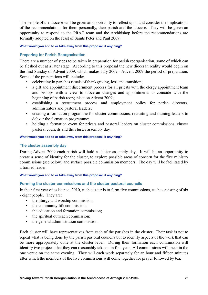The people of the diocese will be given an opportunity to reflect upon and consider the implications of the recommendations for them personally, their parish and the diocese. They will be given an opportunity to respond to the PRAC team and the Archbishop before the recommendations are formally adopted on the feast of Saints Peter and Paul 2009.

#### **What would you add to or take away from this proposal, if anything?**

#### **Preparing for Parish Reorganisation**

There are a number of steps to be taken in preparation for parish reorganisation, some of which can be fleshed out at a later stage. According to this proposal the new diocesan reality would begin on the first Sunday of Advent 2009, which makes July 2009 - Advent 2009 the period of preparation. Some of the preparations will include:

- celebrating in parishes rituals of thanksgiving, loss and transition;
- a gift and appointment discernment process for all priests with the clergy appointment team and bishops with a view to diocesan changes and appointments to coincide with the beginning of parish reorganisation Advent 2009;
- establishing a recruitment process and employment policy for parish directors, administrators and pastoral leaders;
- creating a formation programme for cluster commissions, recruiting and training leaders to deliver the formation programme;
- holding a formation event for priests and pastoral leaders on cluster commissions, cluster pastoral councils and the cluster assembly day.

#### **What would you add to or take away from this proposal, if anything?**

#### **The cluster assembly day**

During Advent 2009 each parish will hold a cluster assembly day. It will be an opportunity to create a sense of identity for the cluster, to explore possible areas of concern for the five ministry commissions (see below) and surface possible commission members. The day will be facilitated by a trained leader.

#### **What would you add to or take away from this proposal, if anything?**

#### **Forming the cluster commissions and the cluster pastoral councils**

In their first year of existence, 2010, each cluster is to form five commissions, each consisting of six - eight people. They are:

- the liturgy and worship commission;
- the community life commission:
- the education and formation commission;
- the spiritual outreach commission;
- the general administration commission.

Each cluster will have representatives from each of the parishes in the cluster. Their task is not to repeat what is being done by the parish pastoral councils but to identify aspects of the work that can be more appropriately done at the cluster level. During their formation each commission will identify two projects that they can reasonably take on in first year. All commissions will meet in the one venue on the same evening. They will each work separately for an hour and fifteen minutes after which the members of the five commissions will come together for prayer followed by tea.